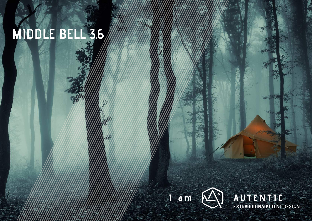# **MIDDLE BELL 3.6**



AUTENTIC<br>EXTRAORDINARY TENT DESIGN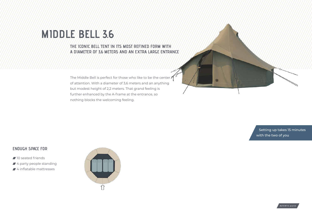## **MIDDLE BELL 3.6**

**THE ICONIC BELL TENT IN ITS MOST REFINED FORM WITH A DIAMETER OF 3,6 METERS AND AN EXTRA LARGE ENTRANCE**

The Middle Bell is perfect for those who like to be the center? of attention. With a diameter of 3,6 meters and an anything but modest height of 2,2 meters. That grand feeling is further enhanced by the A-frame at the entrance, so nothing blocks the welcoming feeling.

> Setting up takes 15 minutes with the two of you

 $1900$ 

**ENOUGH SPACE FOR**

- <sup>10</sup> seated friends
- 4 party people standing
- 4 inflatable mattresses



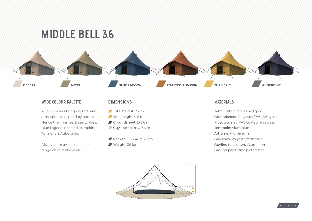### **MIDDLE BELL 3.6**



### **WIDE COLOUR PALETTE**

All our colours bring warmth and atmosphere, inspired by nature. Hence their names: Desert, Moss, Blue Lagoon, Roasted Pumpkin, Turmeric & Aubergine.

Discover our available colour range on autentic.world.

#### **DIMENSIONS**

- Total height: 2,2 m
- Wall height: 0,6 m
- Groundsheet:  $\varnothing$  3,6 m
- Guy line span:  $\varnothing$  7,6 m
- Packed:  $113 \times 46 \times 33$  cm Weight: 36 kg

### **MATERIALS**

Tent: Cotton canvas 320 gsm Groundsheet: Polyester/PVC 550 gsm Mosquito net: PVC coated fibreglass Tent pole: Aluminium A-frame: Aluminium Guy lines: Polyester/reflective Guyline tensioners: Aluminium Ground pegs: Zinc plated steel